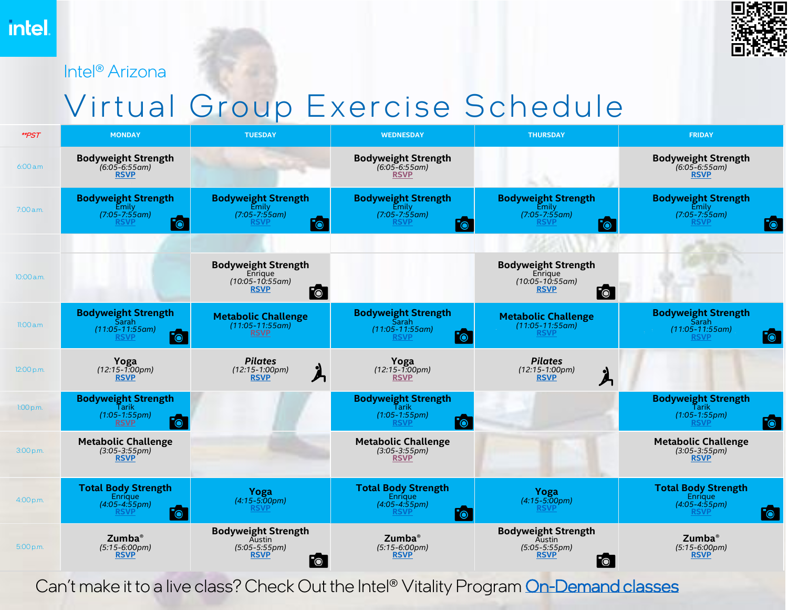Intel® Arizona



## Virtual Group Exercise Schedule

| <b>**PST</b> | <b>MONDAY</b>                                                                           | <b>TUESDAY</b>                                                                                       | <b>WEDNESDAY</b>                                                                                         | <b>THURSDAY</b>                                                                                  | <b>FRIDAY</b>                                                                                      |
|--------------|-----------------------------------------------------------------------------------------|------------------------------------------------------------------------------------------------------|----------------------------------------------------------------------------------------------------------|--------------------------------------------------------------------------------------------------|----------------------------------------------------------------------------------------------------|
| 6:00 a.m     | <b>Bodyweight Strength</b><br>$(6.05 - 6.55)$ am)<br><b>RSVP</b>                        |                                                                                                      | <b>Bodyweight Strength</b><br>$(6.05 - 6.55)$ am)<br><b>RSVP</b>                                         |                                                                                                  | <b>Bodyweight Strength</b><br>$(6.05 - 6.55)$ am)<br><b>RSVP</b>                                   |
| 7:00 a.m.    | <b>Bodyweight Strength</b><br>Emily<br>(7:05-7:55am)<br>$\overline{\bullet}$<br>RSVP    | <b>Bodyweight Strength</b><br>Emily<br>$(7:05 - 7:55$ am)<br>$F_{\bigcirc}$<br>RSVP                  | <b>Bodyweight Strength</b><br>Emily<br>$(7:05 - 7:55$ am)<br><b>RSVP</b><br>$\overline{\bullet}$         | <b>Bodyweight Strength</b><br>Emilv<br>$(7:05 - 7:55$ am)<br><b>RSVP</b><br>$\overline{\bullet}$ | <b>Bodyweight Strength</b><br>Emily<br>$(7:05 - 7:55$ am)<br><b>RSVP</b><br>$\overline{\bullet}$   |
| 10:00 a.m.   |                                                                                         | <b>Bodyweight Strength</b><br>Enrigue<br>$(10:05 - 10:55$ am)<br><b>RSVP</b><br>$\overline{\bullet}$ |                                                                                                          | <b>Bodyweight Strength</b><br>Enrique<br>(10:05-10:55am)<br><b>RSVP</b><br>$F_{\bigcirc}$        |                                                                                                    |
| 11:00a.m     | <b>Bodyweight Strength</b><br>Sarah<br>$(11:05 - 11:55$ am)<br>$\bullet$<br><b>RSVP</b> | <b>Metabolic Challenge</b><br>$(11:05 - 11:55$ am)<br><b>RSVP</b>                                    | <b>Bodyweight Strength</b><br>Sarah<br>$(11:05 - 11:55am)$<br>$\overline{\bullet}$<br><u>RSVP</u>        | <b>Metabolic Challenge</b><br>$(11:05 - 11:55$ am)<br><b>RSVP</b>                                | <b>Bodyweight Strength</b><br>Sarah<br>$(11:05 - 11:55$ am)<br>$\overline{\bullet}$<br><b>RSVP</b> |
| 12:00 p.m.   | Yoga<br>$(12:15 - 1:00pm)$<br><b>RSVP</b>                                               | <b>Pilates</b><br>$(12:15-1:00pm)$<br>А<br><b>RSVP</b>                                               | Yoga<br>$(12:15 - 1:00 \text{pm})$<br><b>RSVP</b>                                                        | <b>Pilates</b><br>$(12:15-1:00pm)$<br><b>RSVP</b>                                                |                                                                                                    |
| $1:00$ p.m.  | <b>Bodyweight Strength</b><br>Tarik<br>$(1:05 - 1:55pm)$<br><b>RSVP</b>                 |                                                                                                      | <b>Bodyweight Strength</b><br>Tarik<br>$(1:05 - 1:55pm)$<br>$F_{\odot}$<br><b>RSVP</b>                   |                                                                                                  | <b>Bodyweight Strength</b><br>Tarik<br>$(1:05 - 1:55pm)$<br>$\overline{\bullet}$<br>RSVI           |
| 3:00 p.m.    | <b>Metabolic Challenge</b><br>$(3:05 - 3:55pm)$<br><b>RSVP</b>                          |                                                                                                      | <b>Metabolic Challenge</b><br>$(3:05-3:55pm)$<br><b>RSVP</b>                                             |                                                                                                  | <b>Metabolic Challenge</b><br>$(3:05-3:55pm)$<br><b>RSVP</b>                                       |
| 4:00 p.m.    | <b>Total Body Strength</b><br><b>Enrique</b><br>$(4:05 - 4:55pm)$<br>$\bullet$<br>RSVP  | Yoga<br>$(4:15 - 5:00pm)$<br><u>RSVP</u>                                                             | <b>Total Body Strength</b><br><b>Enríque</b><br>$(4:05 - 4:55pm)$<br>$\overline{\bullet}$<br><b>RSVP</b> | <b>Yoga</b><br>$(4:15-5:00pm)$<br><u>RSVP</u>                                                    | <b>Total Body Strength</b><br><b>Enrique</b><br>$(4:05 - 4:55pm)$<br>$\overline{\bullet}$<br>RSVP  |
| 5:00 p.m.    | Zumba <sup>®</sup><br>$(5:15-6:00pm)$<br><b>RSVP</b>                                    | <b>Bodyweight Strength</b><br>Austin<br>$(5:05 - 5:55pm)$<br><b>RSVP</b><br>$\overline{\bullet}$     | Zumba <sup>®</sup><br>$(5:15-6:00pm)$<br><b>RSVP</b>                                                     | <b>Bodyweight Strength</b><br>Austin<br>$(5:05 - 5:55pm)$<br><b>RSVP</b><br>$\bullet$            | $Z$ umba $^{\circ}$<br>$(5:15-6:00pm)$<br><b>RSVP</b>                                              |

Can't make it to a live class? Check Out the Intel® Vitality Program [On-Demand classes](https://www.intelvitality.teamexos.com/on-demand)